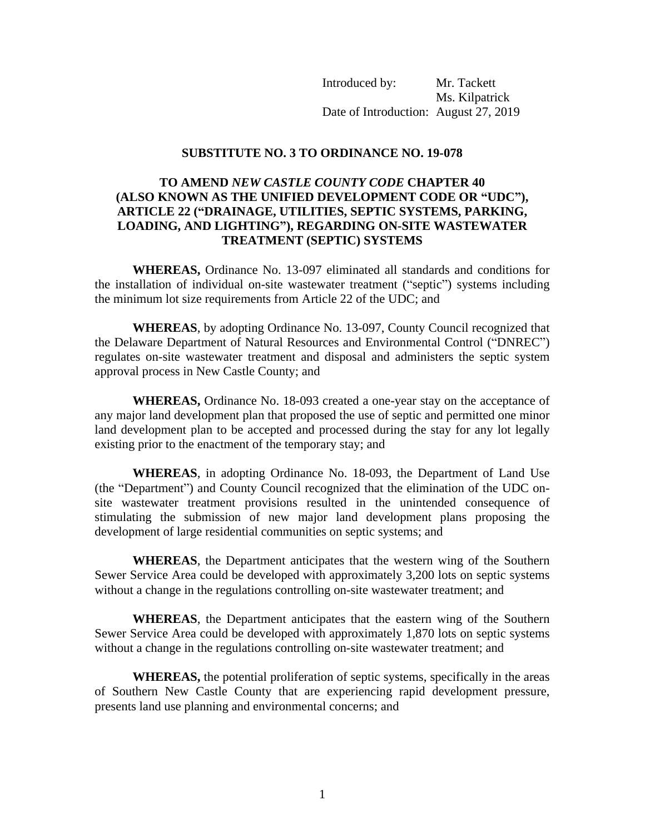Introduced by: Mr. Tackett Ms. Kilpatrick Date of Introduction: August 27, 2019

## **SUBSTITUTE NO. 3 TO ORDINANCE NO. 19-078**

## **TO AMEND** *NEW CASTLE COUNTY CODE* **CHAPTER 40 (ALSO KNOWN AS THE UNIFIED DEVELOPMENT CODE OR "UDC"), ARTICLE 22 ("DRAINAGE, UTILITIES, SEPTIC SYSTEMS, PARKING, LOADING, AND LIGHTING"), REGARDING ON-SITE WASTEWATER TREATMENT (SEPTIC) SYSTEMS**

**WHEREAS,** Ordinance No. 13-097 eliminated all standards and conditions for the installation of individual on-site wastewater treatment ("septic") systems including the minimum lot size requirements from Article 22 of the UDC; and

**WHEREAS**, by adopting Ordinance No. 13-097, County Council recognized that the Delaware Department of Natural Resources and Environmental Control ("DNREC") regulates on-site wastewater treatment and disposal and administers the septic system approval process in New Castle County; and

**WHEREAS,** Ordinance No. 18-093 created a one-year stay on the acceptance of any major land development plan that proposed the use of septic and permitted one minor land development plan to be accepted and processed during the stay for any lot legally existing prior to the enactment of the temporary stay; and

**WHEREAS**, in adopting Ordinance No. 18-093, the Department of Land Use (the "Department") and County Council recognized that the elimination of the UDC onsite wastewater treatment provisions resulted in the unintended consequence of stimulating the submission of new major land development plans proposing the development of large residential communities on septic systems; and

**WHEREAS**, the Department anticipates that the western wing of the Southern Sewer Service Area could be developed with approximately 3,200 lots on septic systems without a change in the regulations controlling on-site wastewater treatment; and

**WHEREAS**, the Department anticipates that the eastern wing of the Southern Sewer Service Area could be developed with approximately 1,870 lots on septic systems without a change in the regulations controlling on-site wastewater treatment; and

**WHEREAS,** the potential proliferation of septic systems, specifically in the areas of Southern New Castle County that are experiencing rapid development pressure, presents land use planning and environmental concerns; and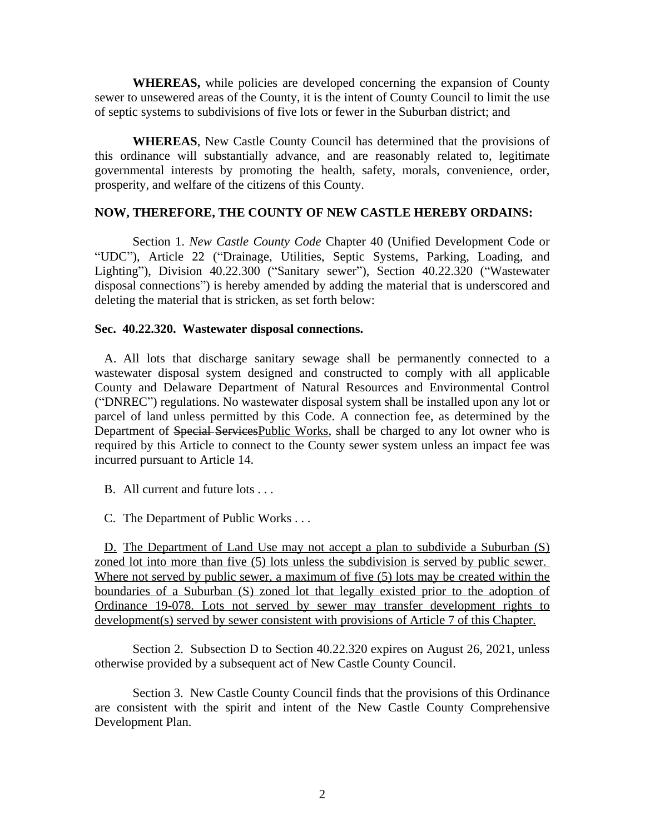**WHEREAS,** while policies are developed concerning the expansion of County sewer to unsewered areas of the County, it is the intent of County Council to limit the use of septic systems to subdivisions of five lots or fewer in the Suburban district; and

**WHEREAS**, New Castle County Council has determined that the provisions of this ordinance will substantially advance, and are reasonably related to, legitimate governmental interests by promoting the health, safety, morals, convenience, order, prosperity, and welfare of the citizens of this County.

## **NOW, THEREFORE, THE COUNTY OF NEW CASTLE HEREBY ORDAINS:**

Section 1. *New Castle County Code* Chapter 40 (Unified Development Code or "UDC"), Article 22 ("Drainage, Utilities, Septic Systems, Parking, Loading, and Lighting"), Division 40.22.300 ("Sanitary sewer"), Section 40.22.320 ("Wastewater disposal connections") is hereby amended by adding the material that is underscored and deleting the material that is stricken, as set forth below:

## **Sec. 40.22.320. Wastewater disposal connections.**

A. All lots that discharge sanitary sewage shall be permanently connected to a wastewater disposal system designed and constructed to comply with all applicable County and Delaware Department of Natural Resources and Environmental Control ("DNREC") regulations. No wastewater disposal system shall be installed upon any lot or parcel of land unless permitted by this Code. A connection fee, as determined by the Department of Special Services Public Works, shall be charged to any lot owner who is required by this Article to connect to the County sewer system unless an impact fee was incurred pursuant to Article 14.

B. All current and future lots . . .

C. The Department of Public Works . . .

D. The Department of Land Use may not accept a plan to subdivide a Suburban (S) zoned lot into more than five (5) lots unless the subdivision is served by public sewer. Where not served by public sewer, a maximum of five (5) lots may be created within the boundaries of a Suburban (S) zoned lot that legally existed prior to the adoption of Ordinance 19-078. Lots not served by sewer may transfer development rights to development(s) served by sewer consistent with provisions of Article 7 of this Chapter.

Section 2. Subsection D to Section 40.22.320 expires on August 26, 2021, unless otherwise provided by a subsequent act of New Castle County Council.

Section 3. New Castle County Council finds that the provisions of this Ordinance are consistent with the spirit and intent of the New Castle County Comprehensive Development Plan.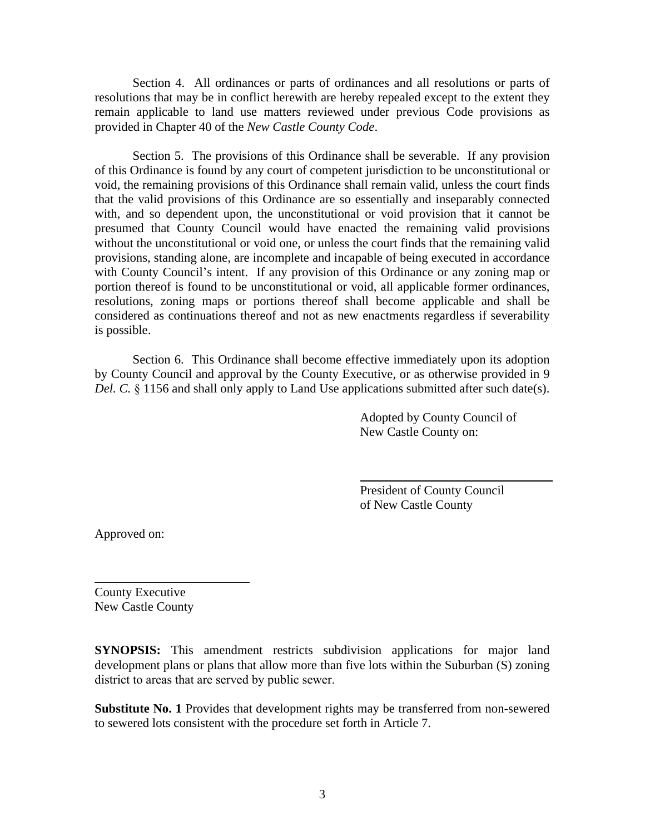Section 4. All ordinances or parts of ordinances and all resolutions or parts of resolutions that may be in conflict herewith are hereby repealed except to the extent they remain applicable to land use matters reviewed under previous Code provisions as provided in Chapter 40 of the *New Castle County Code*.

Section 5. The provisions of this Ordinance shall be severable. If any provision of this Ordinance is found by any court of competent jurisdiction to be unconstitutional or void, the remaining provisions of this Ordinance shall remain valid, unless the court finds that the valid provisions of this Ordinance are so essentially and inseparably connected with, and so dependent upon, the unconstitutional or void provision that it cannot be presumed that County Council would have enacted the remaining valid provisions without the unconstitutional or void one, or unless the court finds that the remaining valid provisions, standing alone, are incomplete and incapable of being executed in accordance with County Council's intent. If any provision of this Ordinance or any zoning map or portion thereof is found to be unconstitutional or void, all applicable former ordinances, resolutions, zoning maps or portions thereof shall become applicable and shall be considered as continuations thereof and not as new enactments regardless if severability is possible.

Section 6. This Ordinance shall become effective immediately upon its adoption by County Council and approval by the County Executive, or as otherwise provided in 9 *Del. C.* § 1156 and shall only apply to Land Use applications submitted after such date(s).

 $\overline{a}$ 

Adopted by County Council of New Castle County on:

President of County Council of New Castle County

Approved on:

 $\overline{a}$ 

County Executive New Castle County

**SYNOPSIS:** This amendment restricts subdivision applications for major land development plans or plans that allow more than five lots within the Suburban (S) zoning district to areas that are served by public sewer.

**Substitute No. 1** Provides that development rights may be transferred from non-sewered to sewered lots consistent with the procedure set forth in Article 7.